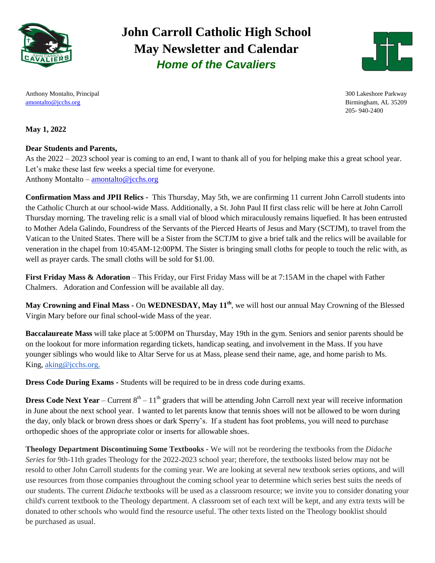

### **John Carroll Catholic High School May Newsletter and Calendar** *Home of the Cavaliers*



205- 940-2400

Anthony Montalto, Principal 300 Lakeshore Parkway [amontalto@jcchs.org](mailto:amontalto@jcchs.org) Birmingham, AL 35209

#### **May 1, 2022**

#### **Dear Students and Parents,**

As the 2022 – 2023 school year is coming to an end, I want to thank all of you for helping make this a great school year. Let's make these last few weeks a special time for everyone. Anthony Montalto – [amontalto@jcchs.org](mailto:amontalto@jcchs.org)

**Confirmation Mass and JPII Relics -** This Thursday, May 5th, we are confirming 11 current John Carroll students into the Catholic Church at our school-wide Mass. Additionally, a St. John Paul II first class relic will be here at John Carroll Thursday morning. The traveling relic is a small vial of blood which miraculously remains liquefied. It has been entrusted to Mother Adela Galindo, Foundress of the Servants of the Pierced Hearts of Jesus and Mary (SCTJM), to travel from the Vatican to the United States. There will be a Sister from the SCTJM to give a brief talk and the relics will be available for veneration in the chapel from 10:45AM-12:00PM. The Sister is bringing small cloths for people to touch the relic with, as well as prayer cards. The small cloths will be sold for \$1.00.

**First Friday Mass & Adoration** – This Friday, our First Friday Mass will be at 7:15AM in the chapel with Father Chalmers. Adoration and Confession will be available all day.

**May Crowning and Final Mass -** On **WEDNESDAY, May 11th** , we will host our annual May Crowning of the Blessed Virgin Mary before our final school-wide Mass of the year.

**Baccalaureate Mass** will take place at 5:00PM on Thursday, May 19th in the gym. Seniors and senior parents should be on the lookout for more information regarding tickets, handicap seating, and involvement in the Mass. If you have younger siblings who would like to Altar Serve for us at Mass, please send their name, age, and home parish to Ms. King, [aking@jcchs.org.](mailto:aking@jcchs.org)

**Dress Code During Exams -** Students will be required to be in dress code during exams.

**Dress Code Next Year** – Current  $8<sup>th</sup>$  –  $11<sup>th</sup>$  graders that will be attending John Carroll next year will receive information in June about the next school year. I wanted to let parents know that tennis shoes will not be allowed to be worn during the day, only black or brown dress shoes or dark Sperry's. If a student has foot problems, you will need to purchase orthopedic shoes of the appropriate color or inserts for allowable shoes.

**Theology Department Discontinuing Some Textbooks -** We will not be reordering the textbooks from the *Didache Series* for 9th-11th grades Theology for the 2022-2023 school year; therefore, the textbooks listed below may not be resold to other John Carroll students for the coming year. We are looking at several new textbook series options, and will use resources from those companies throughout the coming school year to determine which series best suits the needs of our students. The current *Didache* textbooks will be used as a classroom resource; we invite you to consider donating your child's current textbook to the Theology department. A classroom set of each text will be kept, and any extra texts will be donated to other schools who would find the resource useful. The other texts listed on the Theology booklist should be purchased as usual.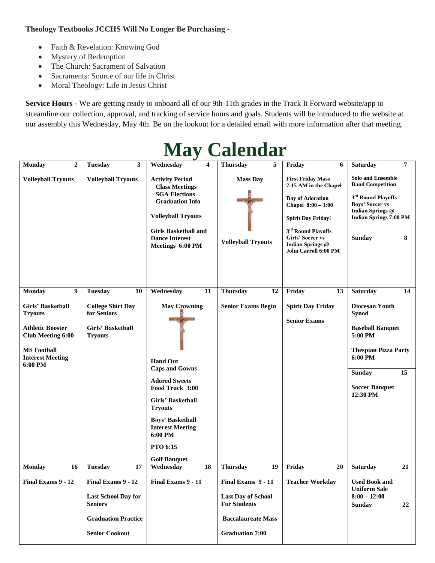#### **Theology Textbooks JCCHS Will No Longer Be Purchasing -**

- Faith & Revelation: Knowing God
- Mystery of Redemption
- The Church: Sacrament of Salvation
- Sacraments: Source of our life in Christ
- Moral Theology: Life in Jesus Christ

**Service Hours -** We are getting ready to onboard all of our 9th-11th grades in the Track It Forward website/app to streamline our collection, approval, and tracking of service hours and goals. Students will be introduced to the website at our assembly this Wednesday, May 4th. Be on the lookout for a detailed email with more information after that meeting.

| $\cdots$                                                                                                                                                      |                                                                                           |                                                                                                                                                                                                                                                       |                                                                                                     |                                                                                                                                                                                                                                            |                                                                                                                                                                            |  |  |  |
|---------------------------------------------------------------------------------------------------------------------------------------------------------------|-------------------------------------------------------------------------------------------|-------------------------------------------------------------------------------------------------------------------------------------------------------------------------------------------------------------------------------------------------------|-----------------------------------------------------------------------------------------------------|--------------------------------------------------------------------------------------------------------------------------------------------------------------------------------------------------------------------------------------------|----------------------------------------------------------------------------------------------------------------------------------------------------------------------------|--|--|--|
| <b>Monday</b><br>$\overline{2}$                                                                                                                               | <b>Tuesday</b><br>3                                                                       | Wednesday<br>4                                                                                                                                                                                                                                        | <b>Thursday</b><br>5                                                                                | Friday<br>6                                                                                                                                                                                                                                | 7<br><b>Saturday</b>                                                                                                                                                       |  |  |  |
| <b>Volleyball Tryouts</b>                                                                                                                                     | <b>Volleyball Tryouts</b>                                                                 | <b>Activity Period</b><br><b>Class Meetings</b><br><b>SGA Elections</b><br><b>Graduation Info</b><br><b>Volleyball Tryouts</b><br><b>Girls Basketball and</b><br><b>Dance Interest</b><br>Meetings 6:00 PM                                            | <b>Mass Day</b><br><b>Volleyball Tryouts</b>                                                        | <b>First Friday Mass</b><br>7:15 AM in the Chapel<br>Day of Adoration<br>Chapel $8:00 - 3:00$<br><b>Spirit Day Friday!</b><br>3 <sup>rd</sup> Round Playoffs<br><b>Girls' Soccer vs</b><br>Indian Springs @<br><b>John Carroll 6:00 PM</b> | <b>Solo and Ensemble</b><br><b>Band Competition</b><br>3rd Round Playoffs<br>Boys' Soccer vs<br><b>Indian Springs @</b><br><b>Indian Springs 7:00 PM</b><br>Sunday<br>8    |  |  |  |
| <b>Monday</b><br>9                                                                                                                                            | <b>Tuesday</b><br>10                                                                      | Wednesday<br>11                                                                                                                                                                                                                                       | <b>Thursday</b><br>12                                                                               | Friday<br>13                                                                                                                                                                                                                               | Saturday<br>14                                                                                                                                                             |  |  |  |
| <b>Girls' Basketball</b><br><b>Tryouts</b><br><b>Athletic Booster</b><br><b>Club Meeting 6:00</b><br><b>MS Football</b><br><b>Interest Meeting</b><br>6:00 PM | <b>College Shirt Day</b><br>for Seniors<br>Girls' Basketball<br><b>Tryouts</b>            | <b>May Crowning</b><br><b>Hand Out</b><br><b>Caps and Gowns</b><br><b>Adored Sweets</b><br>Food Truck 3:00<br>Girls' Basketball<br><b>Tryouts</b><br><b>Boys' Basketball</b><br><b>Interest Meeting</b><br>6:00 PM<br>PTO 6:15<br><b>Golf Banquet</b> | <b>Senior Exams Begin</b>                                                                           | <b>Spirit Day Friday</b><br><b>Senior Exams</b>                                                                                                                                                                                            | Diocesan Youth<br><b>Synod</b><br><b>Baseball Banquet</b><br>5:00 PM<br><b>Thespian Pizza Party</b><br>6:00 PM<br><b>Sunday</b><br>15<br><b>Soccer Banquet</b><br>12:30 PM |  |  |  |
| 16<br><b>Monday</b>                                                                                                                                           | <b>Tuesday</b><br>17                                                                      | Wednesday<br>18                                                                                                                                                                                                                                       | <b>Thursday</b><br>19                                                                               | Friday<br>20                                                                                                                                                                                                                               | <b>Saturday</b><br>21                                                                                                                                                      |  |  |  |
| Final Exams 9 - 12                                                                                                                                            | Final Exams 9 - 12<br><b>Last School Day for</b><br>Seniors<br><b>Graduation Practice</b> | Final Exams 9 - 11                                                                                                                                                                                                                                    | Final Exams 9 - 11<br><b>Last Day of School</b><br><b>For Students</b><br><b>Baccalaureate Mass</b> | <b>Teacher Workday</b>                                                                                                                                                                                                                     | <b>Used Book and</b><br><b>Uniform Sale</b><br>$8:00 - 12:00$<br><b>Sunday</b><br>22                                                                                       |  |  |  |
|                                                                                                                                                               | <b>Senior Cookout</b>                                                                     |                                                                                                                                                                                                                                                       | <b>Graduation 7:00</b>                                                                              |                                                                                                                                                                                                                                            |                                                                                                                                                                            |  |  |  |

# **May Calendar**